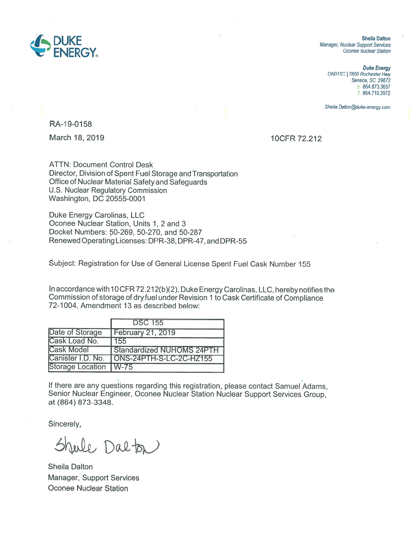

*Duke Energy ON01* SC I 7800 *Rochester Hwy*  Seneca, SC *29672*  o: 864.873.3657 *f* 864.710.3972

*Sheila. Dalton@duke-energy.com* 

RA-19-0158

March 18, 2019 **10CFR 72.212** 

ATTN: Document Control Desk Director, Division of Spent Fuel Storage and Transportation Office of Nuclear Material Safety and Safeguards U.S. Nuclear Regulatory Commission Washington, DC 20555-0001

Duke Energy Carolinas, LLC Oconee Nuclear Station, Units 1, 2 and 3 Docket Numbers: 50-269, 50-270, and 50-287 Renewed Operating Licenses: DPR-38, DPR-47, and DPR-55

Subject: Registration for Use of General License Spent Fuel Cask Number 155

In accordance with 10 CFR 72.212(b)(2), Duke Energy Carolinas, LLC, hereby notifies the Commission of storage of dryfuel under Revision 1 to Cask Certificate of Compliance 72-1004, Amendment 13 as described below:

|                         | <b>DSC 155</b>            |
|-------------------------|---------------------------|
| Date of Storage         | <b>February 21, 2019</b>  |
| Cask Load No.           | l 155                     |
| <b>Cask Model</b>       | Standardized NUHOMS 24PTH |
| Canister I.D. No.       | ONS-24PTH-S-LC-2C-HZ155   |
| Storage Location   W-75 |                           |

If there are any questions regarding this registration, please contact Samuel Adams, Senior Nuclear Engineer, Oconee Nuclear Station Nuclear Support Services Group, at (864) 873-3348.

Sincerely,

Jule Dalta

Sheila Dalton Manager, Support Services Oconee Nuclear Station